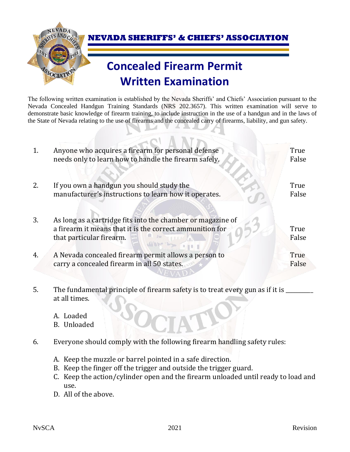

 **NEVADA SHERIFFS' & CHIEFS' ASSOCIATION**

## **Concealed Firearm Permit Written Examination**

The following written examination is established by the Nevada Sheriffs' and Chiefs' Association pursuant to the Nevada Concealed Handgun Training Standards (NRS 202.3657). This written examination will serve to demonstrate basic knowledge of firearm training, to include instruction in the use of a handgun and in the laws of the State of Nevada relating to the use of firearms and the concealed carry of firearms, liability, and gun safety.

 $\mathbf{X}$   $\mathbf{X}$   $\mathbf{X}$ 

| 1.             | Anyone who acquires a firearm for personal defense<br>needs only to learn how to handle the firearm safely.                                         | True<br>False |
|----------------|-----------------------------------------------------------------------------------------------------------------------------------------------------|---------------|
| 2.             | If you own a handgun you should study the<br>manufacturer's instructions to learn how it operates.                                                  | True<br>False |
| 3.             | As long as a cartridge fits into the chamber or magazine of<br>a firearm it means that it is the correct ammunition for<br>that particular firearm. | True<br>False |
| $\overline{4}$ | A Nevada concealed firearm permit allows a person to<br>carry a concealed firearm in all 50 states.                                                 | True<br>False |

5. The fundamental principle of firearm safety is to treat every gun as if it is  $\equiv$ at all times.

- A. Loaded
- B. Unloaded
- 6. Everyone should comply with the following firearm handling safety rules:
	- A. Keep the muzzle or barrel pointed in a safe direction.
	- B. Keep the finger off the trigger and outside the trigger guard.
	- C. Keep the action/cylinder open and the firearm unloaded until ready to load and use.
	- D. All of the above.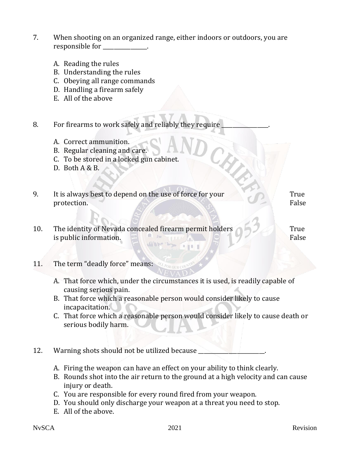- 7. When shooting on an organized range, either indoors or outdoors, you are responsible for \_\_\_\_\_\_\_\_\_\_\_\_\_.
	- A. Reading the rules
	- B. Understanding the rules
	- C. Obeying all range commands
	- D. Handling a firearm safely
	- E. All of the above
- 8. For firearms to work safely and reliably they require
	- A. Correct ammunition.
	- B. Regular cleaning and care.
	- C. To be stored in a locked gun cabinet.
	- D. Both A & B.
- 9. It is always best to depend on the use of force for your protection. True False
- 10. The identity of Nevada concealed firearm permit holders True A AW WITCH is public information. False

 $1.11 -$ 

- 11. The term "deadly force" means:
	- A. That force which, under the circumstances it is used, is readily capable of causing serious pain.
	- B. That force which a reasonable person would consider likely to cause incapacitation.
	- C. That force which a reasonable person would consider likely to cause death or serious bodily harm.
- 12. Warning shots should not be utilized because
	- A. Firing the weapon can have an effect on your ability to think clearly.
	- B. Rounds shot into the air return to the ground at a high velocity and can cause injury or death.
	- C. You are responsible for every round fired from your weapon.
	- D. You should only discharge your weapon at a threat you need to stop.
	- E. All of the above.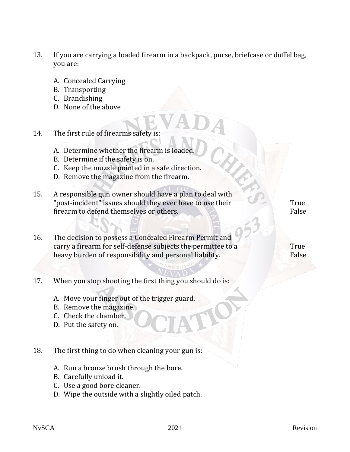- 13. If you are carrying a loaded firearm in a backpack, purse, briefcase or duffel bag, you are:
	- A. Concealed Carrying
	- B. Transporting
	- C. Brandishing
	- D. None of the above
- 14. The first rule of firearms safety is:
	- A. Determine whether the firearm is loaded
	- B. Determine if the safety is on.
	- C. Keep the muzzle pointed in a safe direction.
	- D. Remove the magazine from the firearm.
- 15. A responsible gun owner should have a plan to deal with "post-incident" issues should they ever have to use their firearm to defend themselves or others.
- 16. The decision to possess a Concealed Firearm Permit and carry a firearm for self-defense subjects the permittee to a heavy burden of responsibility and personal liability.

True False

True False

- 17. When you stop shooting the first thing you should do is:
	- A. Move your finger out of the trigger guard.
	- B. Remove the magazine.
	- C. Check the chamber.
	- D. Put the safety on.
- 18. The first thing to do when cleaning your gun is:
	- A. Run a bronze brush through the bore.
	- B. Carefully unload it.
	- C. Use a good bore cleaner.
	- D. Wipe the outside with a slightly oiled patch.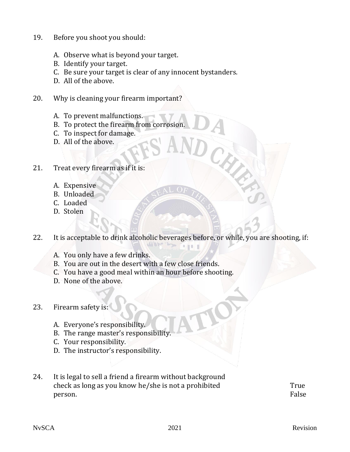- 19. Before you shoot you should:
	- A. Observe what is beyond your target.
	- B. Identify your target.
	- C. Be sure your target is clear of any innocent bystanders.
	- D. All of the above.
- 20. Why is cleaning your firearm important?
	- A. To prevent malfunctions.
	- B. To protect the firearm from corrosion.
	- C. To inspect for damage.
	- D. All of the above.
- 21. Treat every firearm as if it is:
	- A. Expensive
	- B. Unloaded
	- C. Loaded
	- D. Stolen
- 22. It is acceptable to drink alcoholic beverages before, or while, you are shooting, if:

 $1.11 - 1.$ 

- A. You only have a few drinks.
- B. You are out in the desert with a few close friends.
- C. You have a good meal within an hour before shooting.
- D. None of the above.

## 23. Firearm safety is:

- A. Everyone's responsibility.
- B. The range master's responsibility.
- C. Your responsibility.
- D. The instructor's responsibility.
- 24. It is legal to sell a friend a firearm without background check as long as you know he/she is not a prohibited person.

True False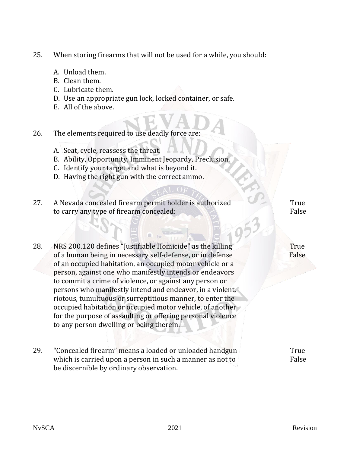- 25. When storing firearms that will not be used for a while, you should:
	- A. Unload them.
	- B. Clean them.
	- C. Lubricate them.
	- D. Use an appropriate gun lock, locked container, or safe.
	- E. All of the above.
- 26. The elements required to use deadly force are:
	- A. Seat, cycle, reassess the threat.
	- B. Ability, Opportunity, Imminent Jeopardy, Preclusion.
	- C. Identify your target and what is beyond it.
	- D. Having the right gun with the correct ammo.
- 27. A Nevada concealed firearm permit holder is authorized to carry any type of firearm concealed: True False
- 28. NRS 200.120 defines "Justifiable Homicide" as the killing of a human being in necessary self-defense, or in defense of an occupied habitation, an occupied motor vehicle or a person, against one who manifestly intends or endeavors to commit a crime of violence, or against any person or persons who manifestly intend and endeavor, in a violent, riotous, tumultuous or surreptitious manner, to enter the occupied habitation or occupied motor vehicle, of another for the purpose of assaulting or offering personal violence to any person dwelling or being therein.
- 29. "Concealed firearm" means a loaded or unloaded handgun which is carried upon a person in such a manner as not to be discernible by ordinary observation. **True** False

 True False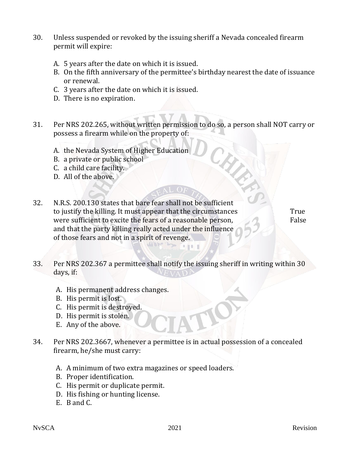- 30. Unless suspended or revoked by the issuing sheriff a Nevada concealed firearm permit will expire:
	- A. 5 years after the date on which it is issued.
	- B. On the fifth anniversary of the permittee's birthday nearest the date of issuance or renewal.
	- C. 3 years after the date on which it is issued.
	- D. There is no expiration.
- 31. Per NRS 202.265, without written permission to do so, a person shall NOT carry or possess a firearm while on the property of:
	- A. the Nevada System of Higher Education
	- B. a private or public school
	- C. a child care facility.
	- D. All of the above.
- 32. N.R.S. 200.130 states that bare fear shall not be sufficient to justify the killing. It must appear that the circumstances were sufficient to excite the fears of a reasonable person, and that the party killing really acted under the influence of those fears and not in a spirit of revenge. True False

33. Per NRS 202.367 a permittee shall notify the issuing sheriff in writing within 30 days, if:

 $1 - 1 - 1$ 

- A. His permanent address changes.
- B. His permit is lost.
- C. His permit is destroyed.
- D. His permit is stolen.
- E. Any of the above.
- 34. Per NRS 202.3667, whenever a permittee is in actual possession of a concealed firearm, he/she must carry:
	- A. A minimum of two extra magazines or speed loaders.
	- B. Proper identification.
	- C. His permit or duplicate permit.
	- D. His fishing or hunting license.
	- E. B and C.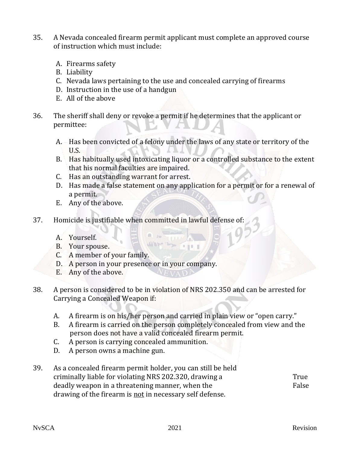- 35. A Nevada concealed firearm permit applicant must complete an approved course of instruction which must include:
	- A. Firearms safety
	- B. Liability
	- C. Nevada laws pertaining to the use and concealed carrying of firearms
	- D. Instruction in the use of a handgun
	- E. All of the above
- 36. The sheriff shall deny or revoke a permit if he determines that the applicant or permittee:
	- A. Has been convicted of a felony under the laws of any state or territory of the U.S.
	- B. Has habitually used intoxicating liquor or a controlled substance to the extent that his normal faculties are impaired.
	- C. Has an outstanding warrant for arrest.
	- D. Has made a false statement on any application for a permit or for a renewal of a permit.

 $18 - 1$ 

- E. Any of the above.
- 37. Homicide is justifiable when committed in lawful defense of:

 $\sqrt{4M}$ 

- A. Yourself.
- B. Your spouse.
- C. A member of your family.
- D. A person in your presence or in your company.
- E. Any of the above.
- 38. A person is considered to be in violation of NRS 202.350 and can be arrested for Carrying a Concealed Weapon if:
	- A. A firearm is on his/her person and carried in plain view or "open carry."
	- B. A firearm is carried on the person completely concealed from view and the person does not have a valid concealed firearm permit.
	- C. A person is carrying concealed ammunition.
	- D. A person owns a machine gun.
- 39. As a concealed firearm permit holder, you can still be held criminally liable for violating NRS 202.320, drawing a deadly weapon in a threatening manner, when the drawing of the firearm is not in necessary self defense. **True** False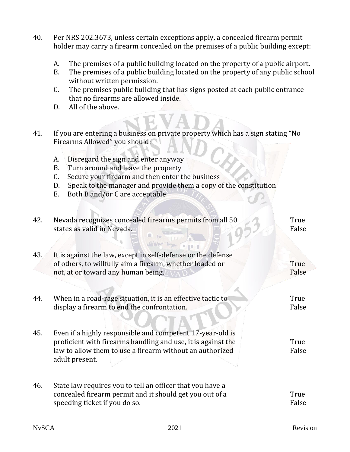- 40. Per NRS 202.3673, unless certain exceptions apply, a concealed firearm permit holder may carry a firearm concealed on the premises of a public building except:
	- A. The premises of a public building located on the property of a public airport.
	- B. The premises of a public building located on the property of any public school without written permission.
	- C. The premises public building that has signs posted at each public entrance that no firearms are allowed inside.
	- D. All of the above.
- 41. If you are entering a business on private property which has a sign stating "No Firearms Allowed" you should:
	- A. Disregard the sign and enter anyway
	- B. Turn around and leave the property
	- C. Secure your firearm and then enter the business
	- D. Speak to the manager and provide them a copy of the constitution
	- E. Both B and/or C are acceptable

| 42. | Nevada recognizes concealed firearms permits from all 50<br>states as valid in Nevada.                                                                                                                  | True<br>False        |
|-----|---------------------------------------------------------------------------------------------------------------------------------------------------------------------------------------------------------|----------------------|
| 43. | It is against the law, except in self-defense or the defense<br>of others, to willfully aim a firearm, whether loaded or<br>not, at or toward any human being.                                          | <b>True</b><br>False |
| 44. | When in a road-rage situation, it is an effective tactic to<br>display a firearm to end the confrontation.                                                                                              | True<br>False        |
| 45. | Even if a highly responsible and competent 17-year-old is<br>proficient with firearms handling and use, it is against the<br>law to allow them to use a firearm without an authorized<br>adult present. | True<br>False        |
| 46. | State law requires you to tell an officer that you have a<br>concealed firearm permit and it should get you out of a<br>speeding ticket if you do so.                                                   | True<br>False        |